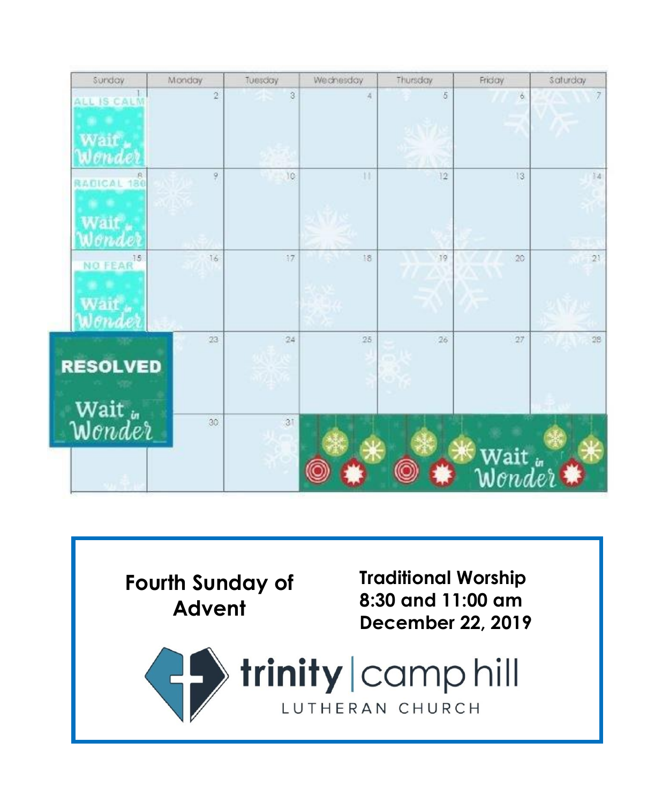| Sunday                         | Monday         | Tuesday | Weichesday | Thursday | Friday         | Saturday |
|--------------------------------|----------------|---------|------------|----------|----------------|----------|
| ALL IS CALM<br>$N_{\rm{HI}}$   | $\overline{2}$ | $^3$    | A          | 5        | ó              | 7        |
| RADICAL 180<br>Jend            | 9              | 10      | 11         | 12       | 13             | 14       |
| NO FEAR <sup>15</sup><br>Nonde | 16             | 17      | 18         | 19       | 20             | 21       |
| <b>RESOLVED</b>                | 23             | 24      | 25         | 26       | 27             | 28       |
| Wait<br><i>Wonder</i>          | 30             | 31      |            |          | Wait<br>Wonder |          |

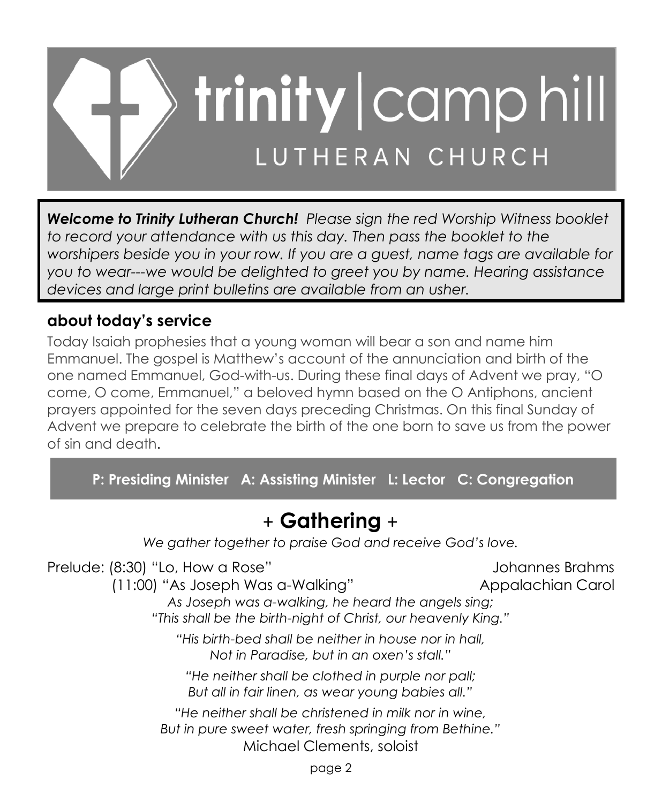

*Welcome to Trinity Lutheran Church! Please sign the red Worship Witness booklet*  to record your attendance with us this day. Then pass the booklet to the *worshipers beside you in your row. If you are a guest, name tags are available for you to wear---we would be delighted to greet you by name. Hearing assistance devices and large print bulletins are available from an usher.*

## **about today's service**

Today Isaiah prophesies that a young woman will bear a son and name him Emmanuel. The gospel is Matthew's account of the annunciation and birth of the one named Emmanuel, God-with-us. During these final days of Advent we pray, "O come, O come, Emmanuel," a beloved hymn based on the O Antiphons, ancient prayers appointed for the seven days preceding Christmas. On this final Sunday of Advent we prepare to celebrate the birth of the one born to save us from the power of sin and death.

**P: Presiding Minister A: Assisting Minister L: Lector C: Congregation**

# + **Gathering** +

*We gather together to praise God and receive God's love.*

Prelude: (8:30) "Lo, How a Rose" and a control of the Johannes Brahms (11:00) "As Joseph Was a-Walking" Appalachian Carol *As Joseph was a-walking, he heard the angels sing; "This shall be the birth-night of Christ, our heavenly King." "His birth-bed shall be neither in house nor in hall, Not in Paradise, but in an oxen's stall." "He neither shall be clothed in purple nor pall; But all in fair linen, as wear young babies all." "He neither shall be christened in milk nor in wine, But in pure sweet water, fresh springing from Bethine."* Michael Clements, soloist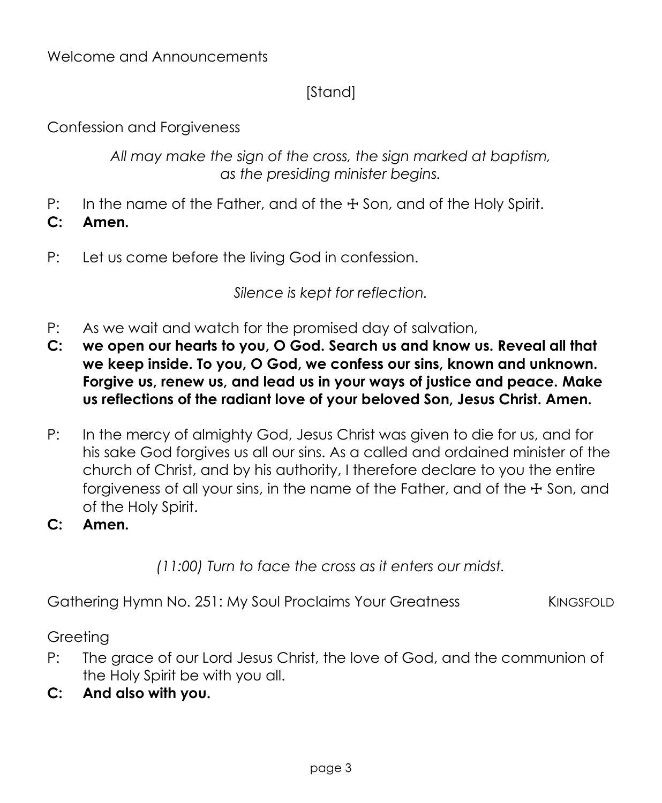## [Stand]

Confession and Forgiveness

*All may make the sign of the cross, the sign marked at baptism, as the presiding minister begins.*

- P: In the name of the Father, and of the  $\pm$  Son, and of the Holy Spirit.
- **C: Amen.**
- P: Let us come before the living God in confession.

*Silence is kept for reflection.*

- P: As we wait and watch for the promised day of salvation,
- **C: we open our hearts to you, O God. Search us and know us. Reveal all that we keep inside. To you, O God, we confess our sins, known and unknown. Forgive us, renew us, and lead us in your ways of justice and peace. Make us reflections of the radiant love of your beloved Son, Jesus Christ. Amen.**
- P: In the mercy of almighty God, Jesus Christ was given to die for us, and for his sake God forgives us all our sins. As a called and ordained minister of the church of Christ, and by his authority, I therefore declare to you the entire forgiveness of all your sins, in the name of the Father, and of the  $\pm$  Son, and of the Holy Spirit.
- **C: Amen.**

*(11:00) Turn to face the cross as it enters our midst.*

Gathering Hymn No. 251: My Soul Proclaims Your Greatness KINGSFOLD

Greeting

- P: The grace of our Lord Jesus Christ, the love of God, and the communion of the Holy Spirit be with you all.
- **C: And also with you.**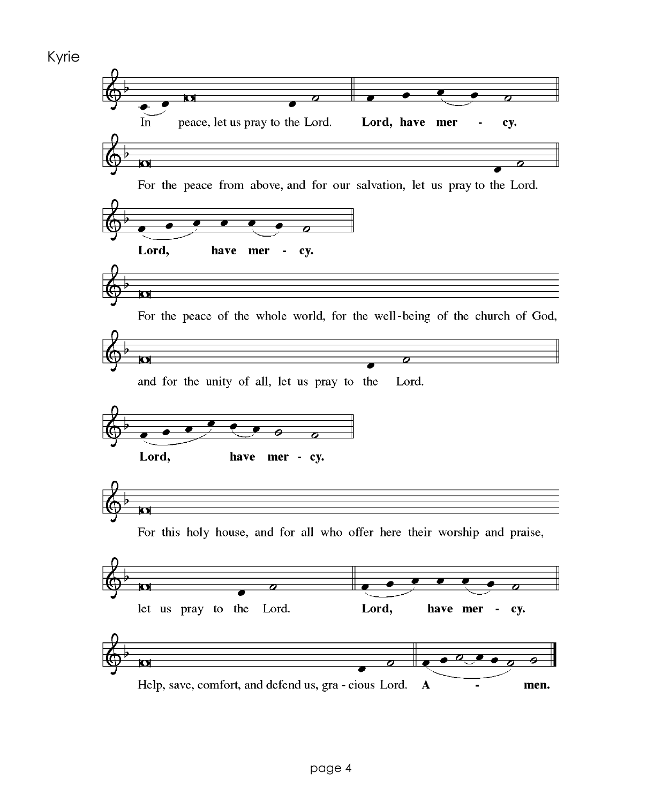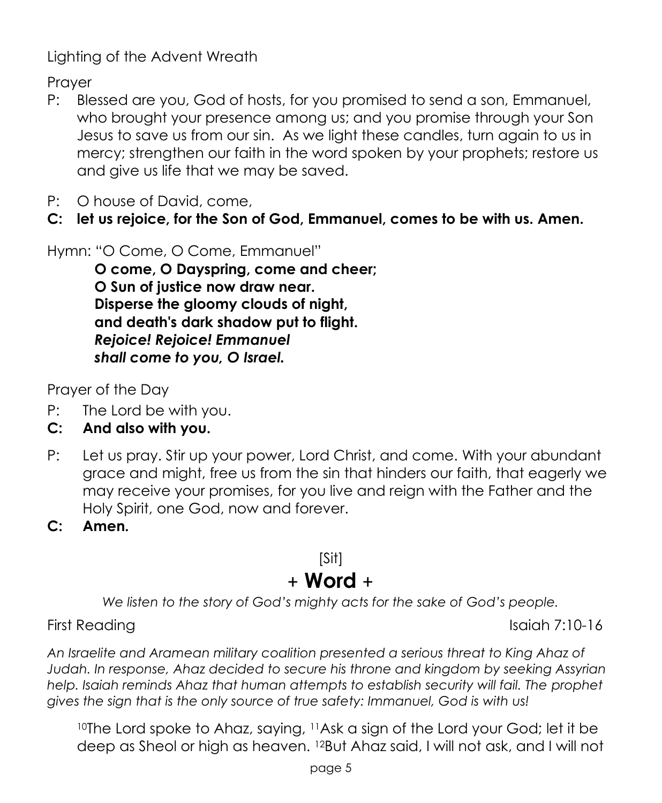Lighting of the Advent Wreath

**Praver** 

- P: Blessed are you, God of hosts, for you promised to send a son, Emmanuel, who brought your presence among us; and you promise through your Son Jesus to save us from our sin. As we light these candles, turn again to us in mercy; strengthen our faith in the word spoken by your prophets; restore us and give us life that we may be saved.
- P: O house of David, come,
- **C: let us rejoice, for the Son of God, Emmanuel, comes to be with us. Amen.**

Hymn: "O Come, O Come, Emmanuel"

**O come, O Dayspring, come and cheer; O Sun of justice now draw near. Disperse the gloomy clouds of night, and death's dark shadow put to flight.**  *Rejoice! Rejoice! Emmanuel shall come to you, O Israel.*

Prayer of the Day

- P: The Lord be with you.
- **C: And also with you.**
- P: Let us pray. Stir up your power, Lord Christ, and come. With your abundant grace and might, free us from the sin that hinders our faith, that eagerly we may receive your promises, for you live and reign with the Father and the Holy Spirit, one God, now and forever.
- **C: Amen.**

# [Sit] + **Word** +

*We listen to the story of God's mighty acts for the sake of God's people.*

First Reading Isaiah 7:10-16

*An Israelite and Aramean military coalition presented a serious threat to King Ahaz of Judah. In response, Ahaz decided to secure his throne and kingdom by seeking Assyrian help. Isaiah reminds Ahaz that human attempts to establish security will fail. The prophet gives the sign that is the only source of true safety: Immanuel, God is with us!* 

<sup>10</sup>The Lord spoke to Ahaz, saying, <sup>11</sup>Ask a sign of the Lord your God; let it be deep as Sheol or high as heaven. <sup>12</sup>But Ahaz said, I will not ask, and I will not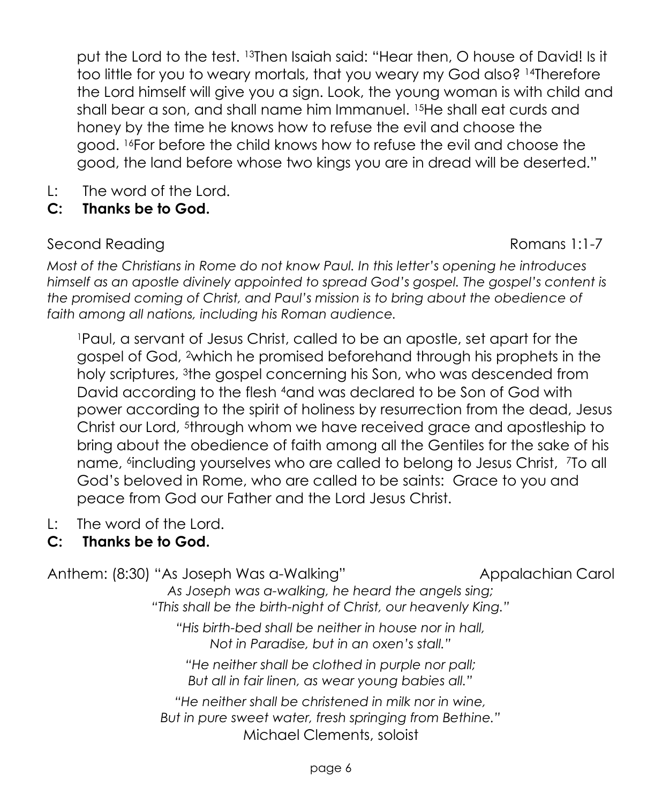put the Lord to the test. <sup>13</sup>Then Isaiah said: "Hear then, O house of David! Is it too little for you to weary mortals, that you weary my God also? <sup>14</sup>Therefore the Lord himself will give you a sign. Look, the young woman is with child and shall bear a son, and shall name him Immanuel. <sup>15</sup>He shall eat curds and honey by the time he knows how to refuse the evil and choose the good. <sup>16</sup>For before the child knows how to refuse the evil and choose the good, the land before whose two kings you are in dread will be deserted."

- L: The word of the Lord.
- **C: Thanks be to God.**

#### Second Reading **Romans 1:1-7 Romans 1:1-7**

*Most of the Christians in Rome do not know Paul. In this letter's opening he introduces himself as an apostle divinely appointed to spread God's gospel. The gospel's content is the promised coming of Christ, and Paul's mission is to bring about the obedience of faith among all nations, including his Roman audience.* 

<sup>1</sup>Paul, a servant of Jesus Christ, called to be an apostle, set apart for the gospel of God, <sup>2</sup>which he promised beforehand through his prophets in the holy scriptures, <sup>3</sup>the gospel concerning his Son, who was descended from David according to the flesh <sup>4</sup>and was declared to be Son of God with power according to the spirit of holiness by resurrection from the dead, Jesus Christ our Lord, <sup>5</sup>through whom we have received grace and apostleship to bring about the obedience of faith among all the Gentiles for the sake of his name, 6 including yourselves who are called to belong to Jesus Christ, <sup>7</sup>To all God's beloved in Rome, who are called to be saints: Grace to you and peace from God our Father and the Lord Jesus Christ.

L: The word of the Lord.

## **C: Thanks be to God.**

Anthem: (8:30) "As Joseph Was a-Walking" Appalachian Carol

*As Joseph was a-walking, he heard the angels sing; "This shall be the birth-night of Christ, our heavenly King."*

*"His birth-bed shall be neither in house nor in hall, Not in Paradise, but in an oxen's stall."*

*"He neither shall be clothed in purple nor pall; But all in fair linen, as wear young babies all."*

*"He neither shall be christened in milk nor in wine, But in pure sweet water, fresh springing from Bethine."* Michael Clements, soloist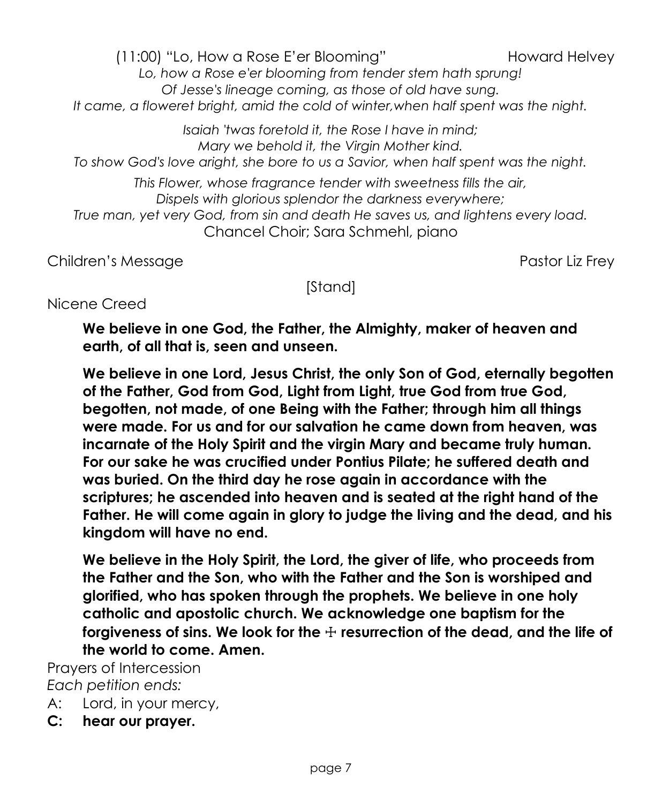(11:00) "Lo, How a Rose E'er Bloomina" howard Helvey *Lo, how a Rose e'er blooming from tender stem hath sprung! Of Jesse's lineage coming, as those of old have sung. It came, a floweret bright, amid the cold of winter,when half spent was the night.*

*Isaiah 'twas foretold it, the Rose I have in mind; Mary we behold it, the Virgin Mother kind. To show God's love aright, she bore to us a Savior, when half spent was the night.*

*This Flower, whose fragrance tender with sweetness fills the air, Dispels with glorious splendor the darkness everywhere; True man, yet very God, from sin and death He saves us, and lightens every load.*

Chancel Choir; Sara Schmehl, piano

Children's Message Pastor Liz Frey

[Stand]

## Nicene Creed

**We believe in one God, the Father, the Almighty, maker of heaven and earth, of all that is, seen and unseen.** 

**We believe in one Lord, Jesus Christ, the only Son of God, eternally begotten of the Father, God from God, Light from Light, true God from true God, begotten, not made, of one Being with the Father; through him all things were made. For us and for our salvation he came down from heaven, was incarnate of the Holy Spirit and the virgin Mary and became truly human. For our sake he was crucified under Pontius Pilate; he suffered death and was buried. On the third day he rose again in accordance with the scriptures; he ascended into heaven and is seated at the right hand of the Father. He will come again in glory to judge the living and the dead, and his kingdom will have no end.**

**We believe in the Holy Spirit, the Lord, the giver of life, who proceeds from the Father and the Son, who with the Father and the Son is worshiped and glorified, who has spoken through the prophets. We believe in one holy catholic and apostolic church. We acknowledge one baptism for the forgiveness of sins. We look for the** ☩ **resurrection of the dead, and the life of the world to come. Amen.**

Prayers of Intercession *Each petition ends:*

- A: Lord, in your mercy,
- **C: hear our prayer.**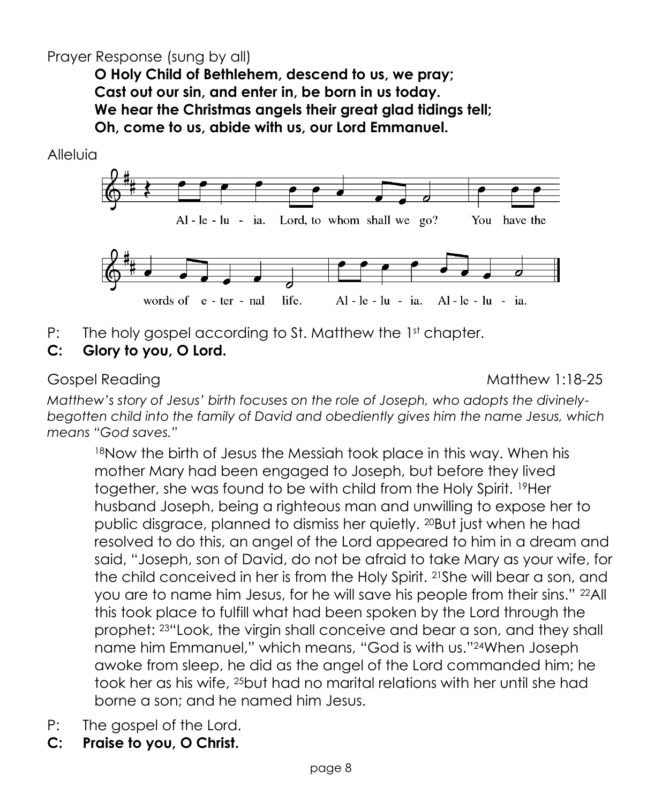## Prayer Response (sung by all)

**O Holy Child of Bethlehem, descend to us, we pray; Cast out our sin, and enter in, be born in us today. We hear the Christmas angels their great glad tidings tell; Oh, come to us, abide with us, our Lord Emmanuel.**



P: The holy gospel according to St. Matthew the 1st chapter.

## **C: Glory to you, O Lord.**

Gospel Reading Matthew 1:18-25

*Matthew's story of Jesus' birth focuses on the role of Joseph, who adopts the divinelybegotten child into the family of David and obediently gives him the name Jesus, which means "God saves."*

18Now the birth of Jesus the Messiah took place in this way. When his mother Mary had been engaged to Joseph, but before they lived together, she was found to be with child from the Holy Spirit. <sup>19</sup>Her husband Joseph, being a righteous man and unwilling to expose her to public disgrace, planned to dismiss her quietly. <sup>20</sup>But just when he had resolved to do this, an angel of the Lord appeared to him in a dream and said, "Joseph, son of David, do not be afraid to take Mary as your wife, for the child conceived in her is from the Holy Spirit. <sup>21</sup>She will bear a son, and you are to name him Jesus, for he will save his people from their sins." <sup>22</sup>All this took place to fulfill what had been spoken by the Lord through the prophet: <sup>23</sup>"Look, the virgin shall conceive and bear a son, and they shall name him Emmanuel," which means, "God is with us."24When Joseph awoke from sleep, he did as the angel of the Lord commanded him; he took her as his wife, <sup>25</sup>but had no marital relations with her until she had borne a son; and he named him Jesus.

- P: The gospel of the Lord.
- **C: Praise to you, O Christ.**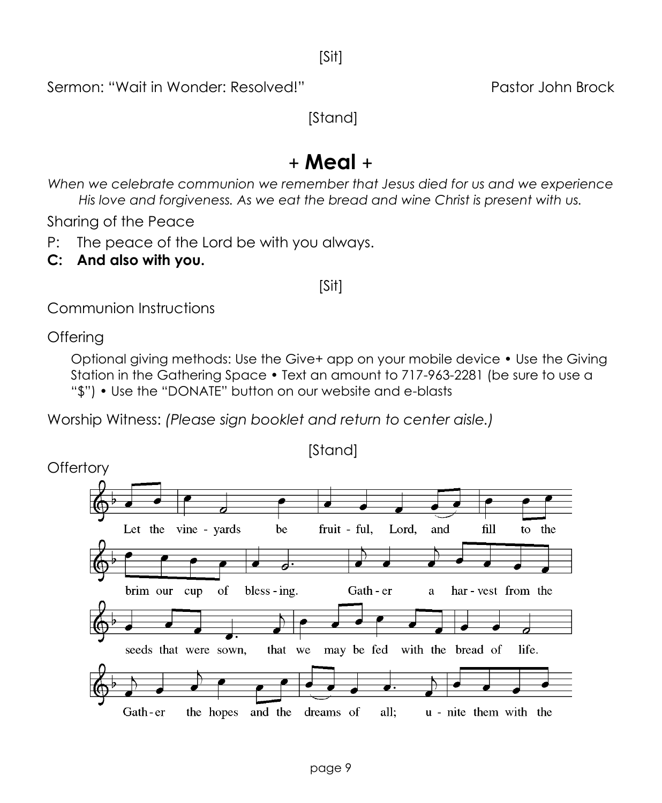Sermon: "Wait in Wonder: Resolved!" 
Pastor John Brock

[Stand]

# + **Meal** +

*When we celebrate communion we remember that Jesus died for us and we experience His love and forgiveness. As we eat the bread and wine Christ is present with us.*

Sharing of the Peace

P: The peace of the Lord be with you always.

**C: And also with you.**

#### [Sit]

Communion Instructions

Offering

Optional giving methods: Use the Give+ app on your mobile device • Use the Giving Station in the Gathering Space • Text an amount to 717-963-2281 (be sure to use a "\$") • Use the "DONATE" button on our website and e-blasts

Worship Witness: *(Please sign booklet and return to center aisle.)*

[Stand] **Offertory** Let the vine - vards be fruit - ful. Lord. fill and to the brim our cup of bless - ing. Gath - er har-vest from the a seeds that were sown, that we may be fed with the bread of life. Gath-er the hopes and the dreams of all: u - nite them with the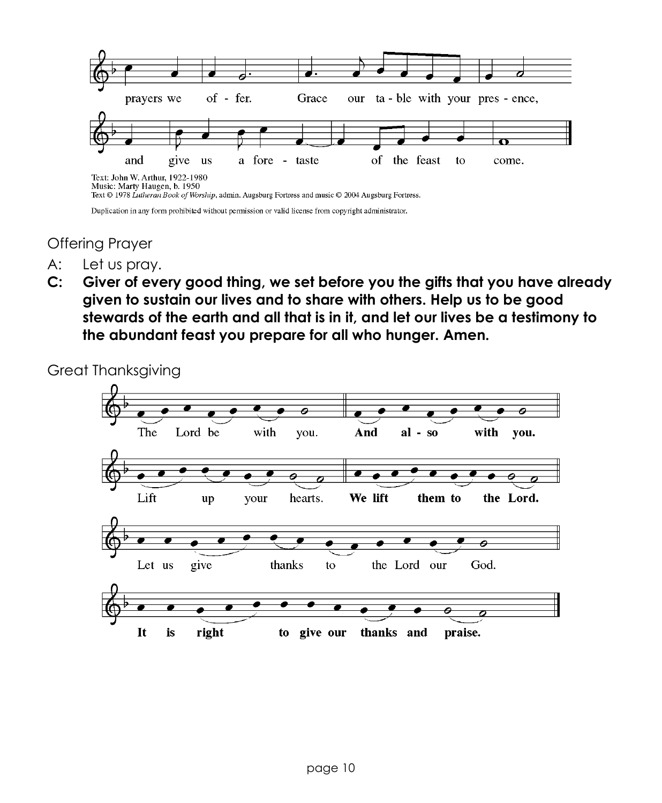

Duplication in any form prohibited without permission or valid license from copyright administrator.

#### Offering Prayer

- A: Let us pray.
- **C: Giver of every good thing, we set before you the gifts that you have already given to sustain our lives and to share with others. Help us to be good stewards of the earth and all that is in it, and let our lives be a testimony to the abundant feast you prepare for all who hunger. Amen.**

Great Thanksgiving

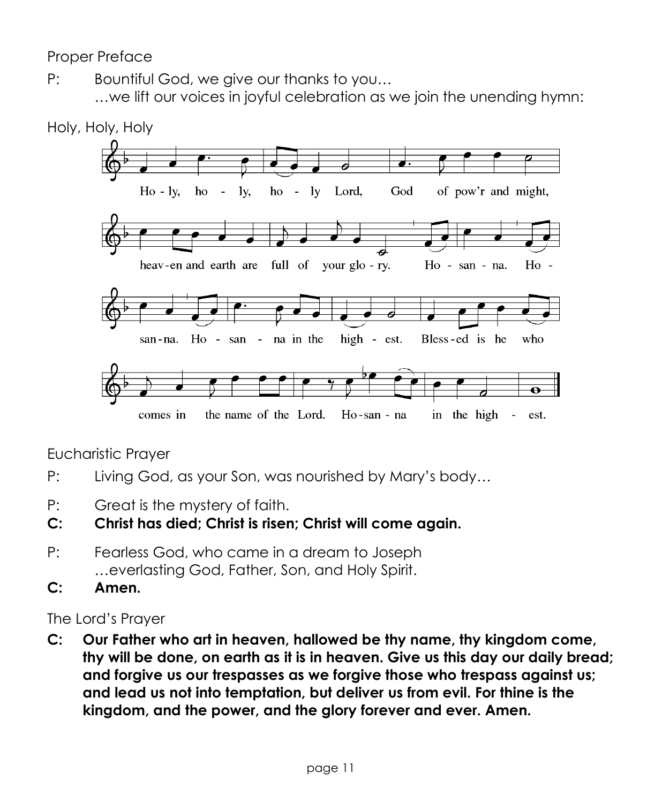Proper Preface

P: Bountiful God, we give our thanks to you… …we lift our voices in joyful celebration as we join the unending hymn:



Eucharistic Prayer

- P: Living God, as your Son, was nourished by Mary's body…
- P: Great is the mystery of faith.
- **C: Christ has died; Christ is risen; Christ will come again.**
- P: Fearless God, who came in a dream to Joseph …everlasting God, Father, Son, and Holy Spirit.
- **C: Amen.**

The Lord's Prayer

**C: Our Father who art in heaven, hallowed be thy name, thy kingdom come, thy will be done, on earth as it is in heaven. Give us this day our daily bread; and forgive us our trespasses as we forgive those who trespass against us; and lead us not into temptation, but deliver us from evil. For thine is the kingdom, and the power, and the glory forever and ever. Amen.**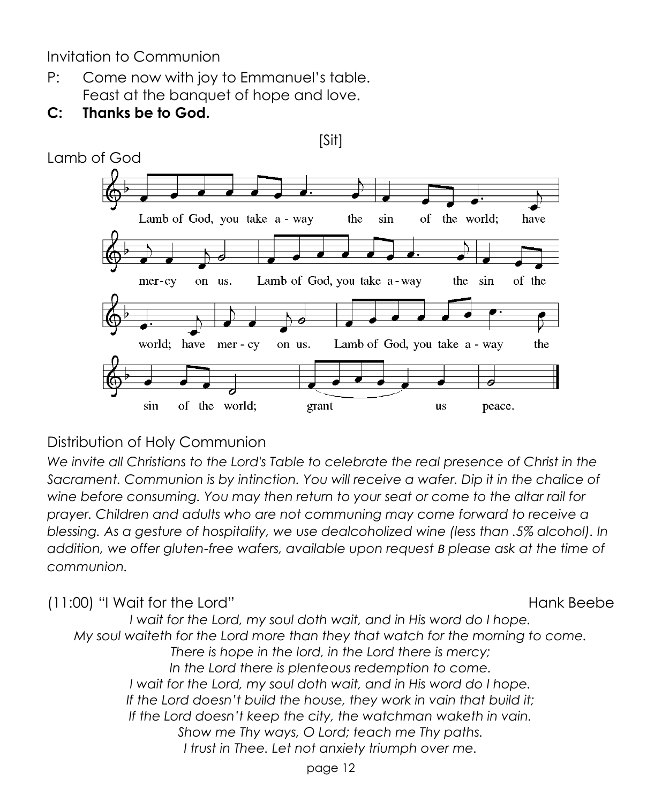Invitation to Communion

- P: Come now with joy to Emmanuel's table. Feast at the banquet of hope and love.
- **C: Thanks be to God.**



#### Distribution of Holy Communion

*We invite all Christians to the Lord's Table to celebrate the real presence of Christ in the Sacrament. Communion is by intinction. You will receive a wafer. Dip it in the chalice of wine before consuming. You may then return to your seat or come to the altar rail for prayer. Children and adults who are not communing may come forward to receive a blessing. As a gesture of hospitality, we use dealcoholized wine (less than .5% alcohol). In addition, we offer gluten-free wafers, available upon request B please ask at the time of communion.* 

(11:00) "I Wait for the Lord" and the context of the Hank Beebe *I wait for the Lord, my soul doth wait, and in His word do I hope. My soul waiteth for the Lord more than they that watch for the morning to come. There is hope in the lord, in the Lord there is mercy; In the Lord there is plenteous redemption to come. I wait for the Lord, my soul doth wait, and in His word do I hope. If the Lord doesn't build the house, they work in vain that build it; If the Lord doesn't keep the city, the watchman waketh in vain. Show me Thy ways, O Lord; teach me Thy paths. I trust in Thee. Let not anxiety triumph over me.*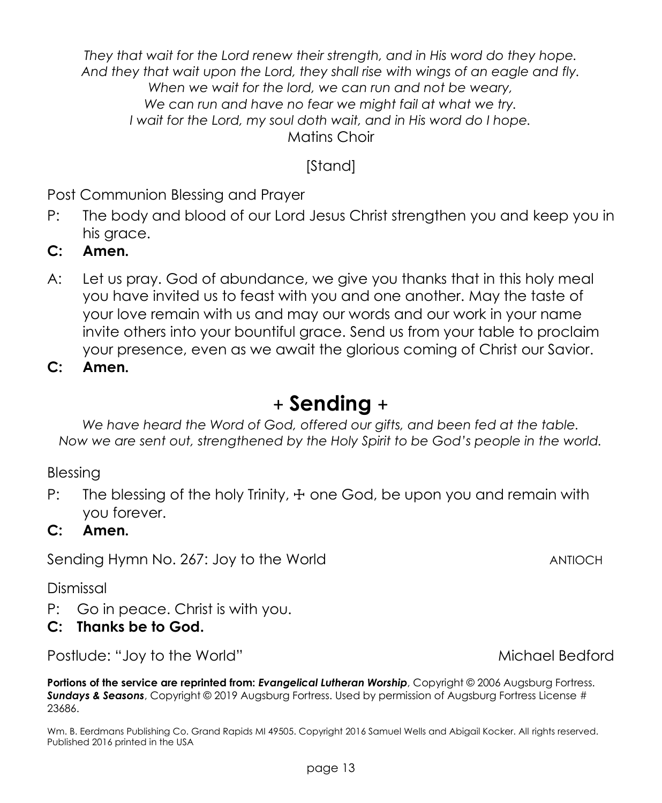*They that wait for the Lord renew their strength, and in His word do they hope. And they that wait upon the Lord, they shall rise with wings of an eagle and fly. When we wait for the lord, we can run and not be weary, We can run and have no fear we might fail at what we try. I wait for the Lord, my soul doth wait, and in His word do I hope.* Matins Choir

## [Stand]

Post Communion Blessing and Prayer

- P: The body and blood of our Lord Jesus Christ strengthen you and keep you in his grace.
- **C: Amen.**
- A: Let us pray. God of abundance, we give you thanks that in this holy meal you have invited us to feast with you and one another. May the taste of your love remain with us and may our words and our work in your name invite others into your bountiful grace. Send us from your table to proclaim your presence, even as we await the glorious coming of Christ our Savior.

**C: Amen.**

# + **Sending** +

*We have heard the Word of God, offered our gifts, and been fed at the table. Now we are sent out, strengthened by the Holy Spirit to be God's people in the world.*

Blessing

P: The blessing of the holy Trinity,  $\pm$  one God, be upon you and remain with you forever.

#### **C: Amen.**

Sending Hymn No. 267: Joy to the World ANTIOCH

Dismissal

P: Go in peace. Christ is with you.

#### **C: Thanks be to God.**

Postlude: "Joy to the World" example a state of the Michael Bedford Michael Bedford

**Portions of the service are reprinted from:** *Evangelical Lutheran Worship*, Copyright © 2006 Augsburg Fortress. *Sundays & Seasons*, Copyright © 2019 Augsburg Fortress. Used by permission of Augsburg Fortress License # 23686.

Wm. B. Eerdmans Publishing Co. Grand Rapids MI 49505. Copyright 2016 Samuel Wells and Abigail Kocker. All rights reserved. Published 2016 printed in the USA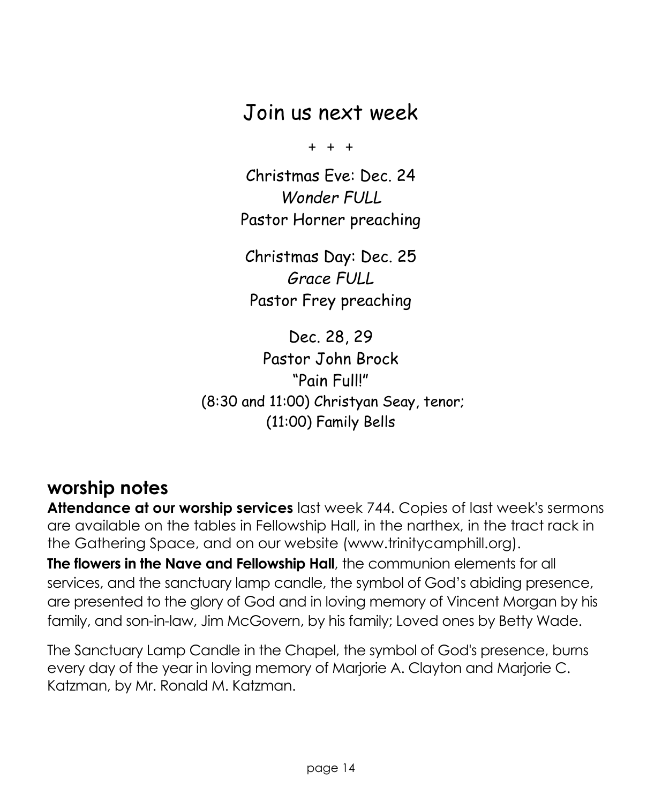# Join us next week

 $+ + +$ 

Christmas Eve: Dec. 24 *Wonder FULL* Pastor Horner preaching

Christmas Day: Dec. 25 *Grace FULL* Pastor Frey preaching

Dec. 28, 29 Pastor John Brock "Pain Full!" (8:30 and 11:00) Christyan Seay, tenor; (11:00) Family Bells

# **worship notes**

**Attendance at our worship services** last week 744. Copies of last week's sermons are available on the tables in Fellowship Hall, in the narthex, in the tract rack in the Gathering Space, and on our website (www.trinitycamphill.org). **The flowers in the Nave and Fellowship Hall**, the communion elements for all services, and the sanctuary lamp candle, the symbol of God's abiding presence, are presented to the glory of God and in loving memory of Vincent Morgan by his

The Sanctuary Lamp Candle in the Chapel, the symbol of God's presence, burns every day of the year in loving memory of Marjorie A. Clayton and Marjorie C. Katzman, by Mr. Ronald M. Katzman.

family, and son-in-law, Jim McGovern, by his family; Loved ones by Betty Wade.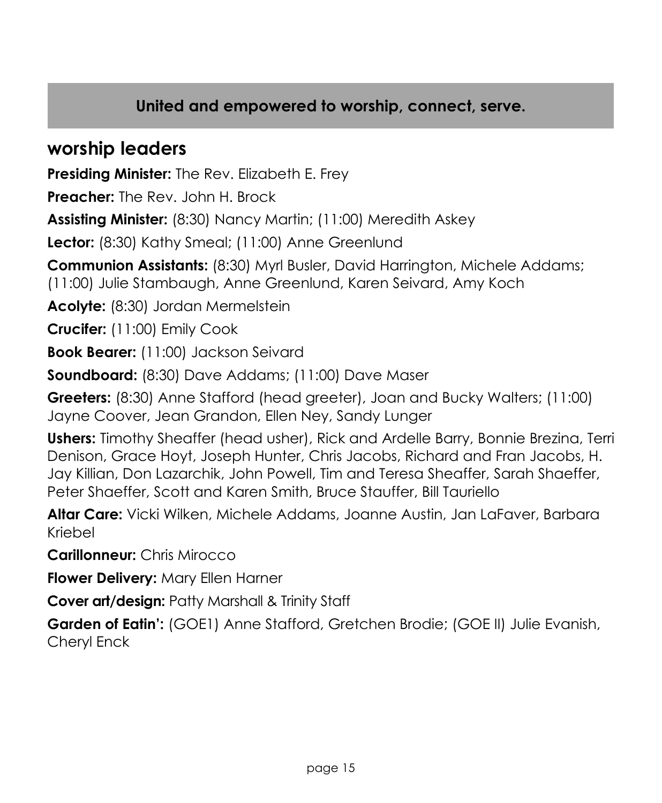## **United and empowered to worship, connect, serve.**

# **worship leaders**

**Presiding Minister:** The Rev. Elizabeth E. Frey

**Preacher:** The Rev. John H. Brock

**Assisting Minister:** (8:30) Nancy Martin; (11:00) Meredith Askey

Lector: (8:30) Kathy Smeal; (11:00) Anne Greenlund

**Communion Assistants:** (8:30) Myrl Busler, David Harrington, Michele Addams; (11:00) Julie Stambaugh, Anne Greenlund, Karen Seivard, Amy Koch

**Acolyte:** (8:30) Jordan Mermelstein

**Crucifer:** (11:00) Emily Cook

**Book Bearer:** (11:00) Jackson Seivard

**Soundboard:** (8:30) Dave Addams; (11:00) Dave Maser

**Greeters:** (8:30) Anne Stafford (head greeter), Joan and Bucky Walters; (11:00) Jayne Coover, Jean Grandon, Ellen Ney, Sandy Lunger

**Ushers:** Timothy Sheaffer (head usher), Rick and Ardelle Barry, Bonnie Brezina, Terri Denison, Grace Hoyt, Joseph Hunter, Chris Jacobs, Richard and Fran Jacobs, H. Jay Killian, Don Lazarchik, John Powell, Tim and Teresa Sheaffer, Sarah Shaeffer, Peter Shaeffer, Scott and Karen Smith, Bruce Stauffer, Bill Tauriello

**Altar Care:** Vicki Wilken, Michele Addams, Joanne Austin, Jan LaFaver, Barbara Kriebel

**Carillonneur:** Chris Mirocco

**Flower Delivery:** Mary Ellen Harner

**Cover art/design:** Patty Marshall & Trinity Staff

**Garden of Eatin':** (GOE1) Anne Stafford, Gretchen Brodie; (GOE II) Julie Evanish, Cheryl Enck